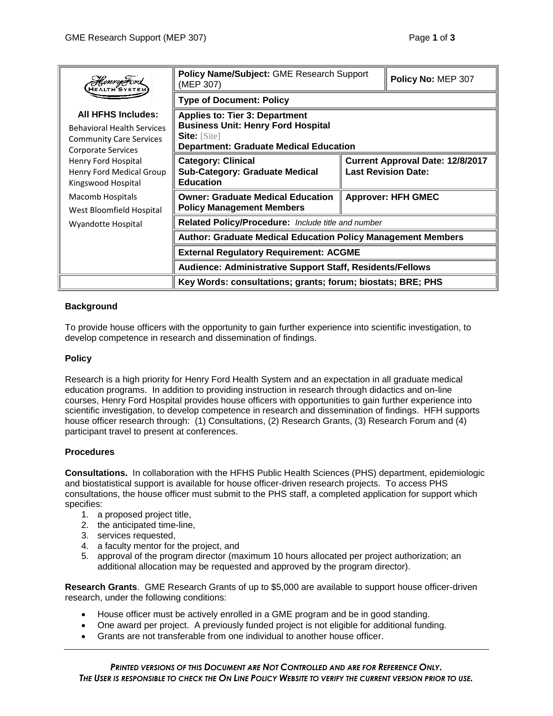| HenryFord                                                                                                                                                                                                                                              | Policy Name/Subject: GME Research Support<br>(MEP 307)                                                                                                     |                                                                       | Policy No: MEP 307 |
|--------------------------------------------------------------------------------------------------------------------------------------------------------------------------------------------------------------------------------------------------------|------------------------------------------------------------------------------------------------------------------------------------------------------------|-----------------------------------------------------------------------|--------------------|
|                                                                                                                                                                                                                                                        | <b>Type of Document: Policy</b>                                                                                                                            |                                                                       |                    |
| <b>All HFHS Includes:</b><br><b>Behavioral Health Services</b><br><b>Community Care Services</b><br><b>Corporate Services</b><br>Henry Ford Hospital<br>Henry Ford Medical Group<br>Kingswood Hospital<br>Macomb Hospitals<br>West Bloomfield Hospital | <b>Applies to: Tier 3: Department</b><br><b>Business Unit: Henry Ford Hospital</b><br><b>Site:</b> [Site]<br><b>Department: Graduate Medical Education</b> |                                                                       |                    |
|                                                                                                                                                                                                                                                        | <b>Category: Clinical</b><br><b>Sub-Category: Graduate Medical</b><br><b>Education</b>                                                                     | <b>Current Approval Date: 12/8/2017</b><br><b>Last Revision Date:</b> |                    |
|                                                                                                                                                                                                                                                        | <b>Owner: Graduate Medical Education</b><br><b>Policy Management Members</b>                                                                               | <b>Approver: HFH GMEC</b>                                             |                    |
| Wyandotte Hospital                                                                                                                                                                                                                                     | Related Policy/Procedure: Include title and number                                                                                                         |                                                                       |                    |
|                                                                                                                                                                                                                                                        | <b>Author: Graduate Medical Education Policy Management Members</b>                                                                                        |                                                                       |                    |
|                                                                                                                                                                                                                                                        | <b>External Regulatory Requirement: ACGME</b>                                                                                                              |                                                                       |                    |
|                                                                                                                                                                                                                                                        | Audience: Administrative Support Staff, Residents/Fellows                                                                                                  |                                                                       |                    |
|                                                                                                                                                                                                                                                        | Key Words: consultations; grants; forum; biostats; BRE; PHS                                                                                                |                                                                       |                    |

## **Background**

To provide house officers with the opportunity to gain further experience into scientific investigation, to develop competence in research and dissemination of findings.

## **Policy**

Research is a high priority for Henry Ford Health System and an expectation in all graduate medical education programs. In addition to providing instruction in research through didactics and on-line courses, Henry Ford Hospital provides house officers with opportunities to gain further experience into scientific investigation, to develop competence in research and dissemination of findings. HFH supports house officer research through: (1) Consultations, (2) Research Grants, (3) Research Forum and (4) participant travel to present at conferences.

## **Procedures**

**Consultations.** In collaboration with the HFHS Public Health Sciences (PHS) department, epidemiologic and biostatistical support is available for house officer-driven research projects. To access PHS consultations, the house officer must submit to the PHS staff, a completed application for support which specifies:

- 1. a proposed project title,
- 2. the anticipated time-line,
- 3. services requested,
- 4. a faculty mentor for the project, and
- 5. approval of the program director (maximum 10 hours allocated per project authorization; an additional allocation may be requested and approved by the program director).

**Research Grants**. GME Research Grants of up to \$5,000 are available to support house officer-driven research, under the following conditions:

- House officer must be actively enrolled in a GME program and be in good standing.
- One award per project. A previously funded project is not eligible for additional funding.
- Grants are not transferable from one individual to another house officer.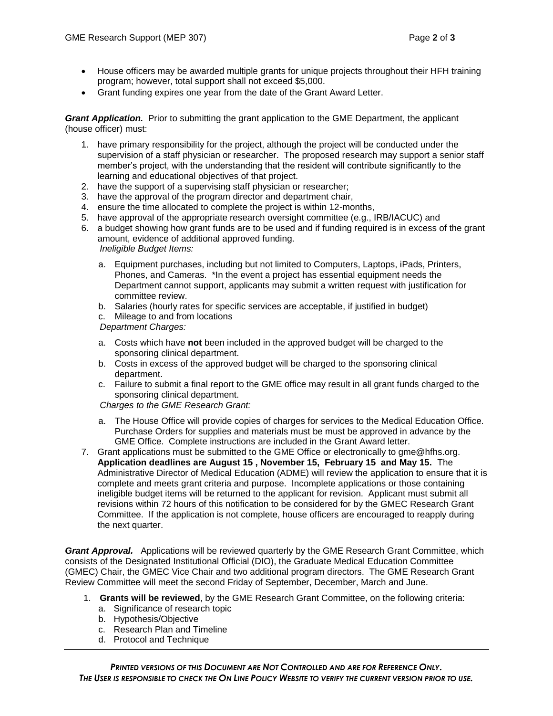- House officers may be awarded multiple grants for unique projects throughout their HFH training program; however, total support shall not exceed \$5,000.
- Grant funding expires one year from the date of the Grant Award Letter.

*Grant Application.* Prior to submitting the grant application to the GME Department, the applicant (house officer) must:

- 1. have primary responsibility for the project, although the project will be conducted under the supervision of a staff physician or researcher. The proposed research may support a senior staff member's project, with the understanding that the resident will contribute significantly to the learning and educational objectives of that project.
- 2. have the support of a supervising staff physician or researcher;
- 3. have the approval of the program director and department chair,
- 4. ensure the time allocated to complete the project is within 12-months,
- 5. have approval of the appropriate research oversight committee (e.g., IRB/IACUC) and
- 6. a budget showing how grant funds are to be used and if funding required is in excess of the grant amount, evidence of additional approved funding. *Ineligible Budget Items:* 
	- a. Equipment purchases, including but not limited to Computers, Laptops, iPads, Printers, Phones, and Cameras. \*In the event a project has essential equipment needs the Department cannot support, applicants may submit a written request with justification for committee review.
	- b. Salaries (hourly rates for specific services are acceptable, if justified in budget)
	- c. Mileage to and from locations

*Department Charges:*

- a. Costs which have **not** been included in the approved budget will be charged to the sponsoring clinical department.
- b. Costs in excess of the approved budget will be charged to the sponsoring clinical department.
- c. Failure to submit a final report to the GME office may result in all grant funds charged to the sponsoring clinical department.

*Charges to the GME Research Grant:*

- a. The House Office will provide copies of charges for services to the Medical Education Office. Purchase Orders for supplies and materials must be must be approved in advance by the GME Office. Complete instructions are included in the Grant Award letter.
- 7. Grant applications must be submitted to the GME Office or electronically to gme@hfhs.org. **Application deadlines are August 15 , November 15, February 15 and May 15.** The Administrative Director of Medical Education (ADME) will review the application to ensure that it is complete and meets grant criteria and purpose. Incomplete applications or those containing ineligible budget items will be returned to the applicant for revision. Applicant must submit all revisions within 72 hours of this notification to be considered for by the GMEC Research Grant Committee. If the application is not complete, house officers are encouraged to reapply during the next quarter.

*Grant Approval.*Applications will be reviewed quarterly by the GME Research Grant Committee, which consists of the Designated Institutional Official (DIO), the Graduate Medical Education Committee (GMEC) Chair, the GMEC Vice Chair and two additional program directors. The GME Research Grant Review Committee will meet the second Friday of September, December, March and June.

- 1. **Grants will be reviewed**, by the GME Research Grant Committee, on the following criteria:
	- a. Significance of research topic
	- b. Hypothesis/Objective
	- c. Research Plan and Timeline
	- d. Protocol and Technique